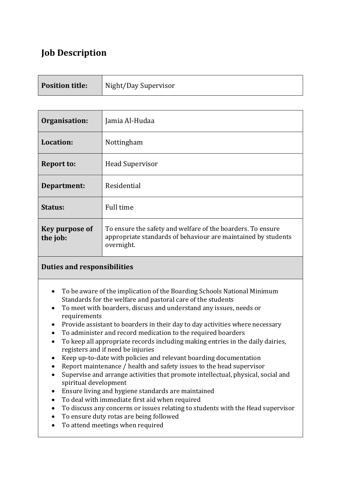# **Job Description**

| <b>Position title:</b> | Night/Day Supervisor |
|------------------------|----------------------|
|                        |                      |

| Organisation:                     | Jamia Al-Hudaa                                                                                                                             |
|-----------------------------------|--------------------------------------------------------------------------------------------------------------------------------------------|
| Location:                         | Nottingham                                                                                                                                 |
| <b>Report to:</b>                 | <b>Head Supervisor</b>                                                                                                                     |
| Department:                       | Residential                                                                                                                                |
| Status:                           | Full time                                                                                                                                  |
| <b>Key purpose of</b><br>the job: | To ensure the safety and welfare of the boarders. To ensure<br>appropriate standards of behaviour are maintained by students<br>overnight. |

## **Duties and responsibilities**

- To be aware of the implication of the Boarding Schools National Minimum Standards for the welfare and pastoral care of the students
- To meet with boarders, discuss and understand any issues, needs or requirements
- Provide assistant to boarders in their day to day activities where necessary
- To administer and record medication to the required boarders
- To keep all appropriate records including making entries in the daily dairies, registers and if need be injuries
- Keep up-to-date with policies and relevant boarding documentation
- Report maintenance / health and safety issues to the head supervisor
- Supervise and arrange activities that promote intellectual, physical, social and spiritual development
- Ensure living and hygiene standards are maintained
- To deal with immediate first aid when required
- To discuss any concerns or issues relating to students with the Head supervisor
- To ensure duty rotas are being followed
- To attend meetings when required